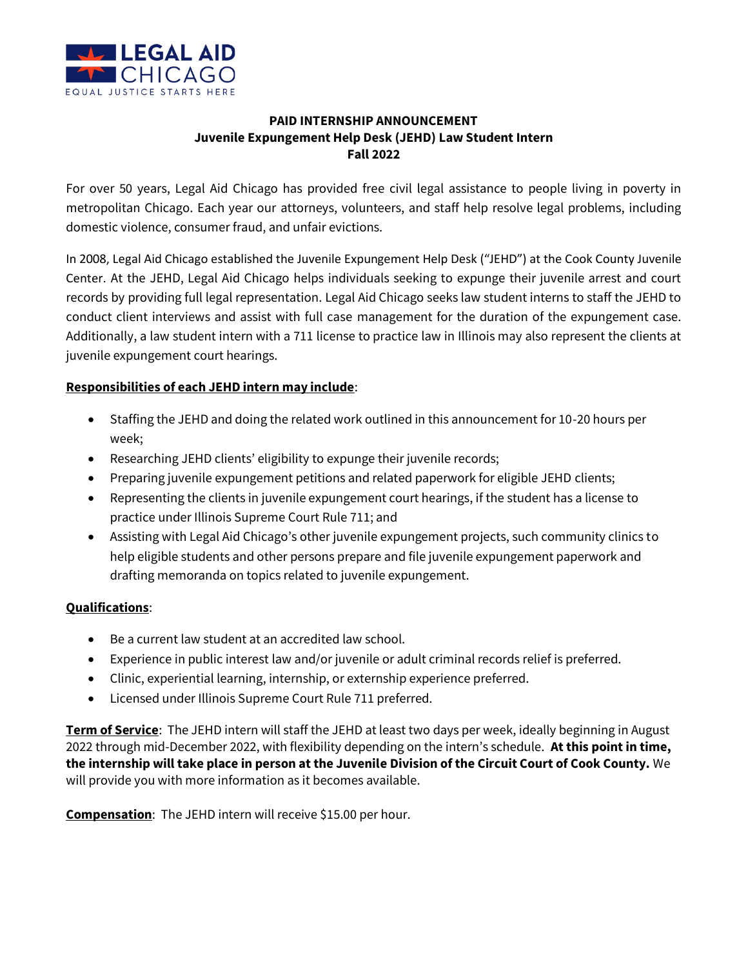

## **PAID INTERNSHIP ANNOUNCEMENT Juvenile Expungement Help Desk (JEHD) Law Student Intern Fall 2022**

For over 50 years, Legal Aid Chicago has provided free civil legal assistance to people living in poverty in metropolitan Chicago. Each year our attorneys, volunteers, and staff help resolve legal problems, including domestic violence, consumer fraud, and unfair evictions.

In 2008, Legal Aid Chicago established the Juvenile Expungement Help Desk ("JEHD") at the Cook County Juvenile Center. At the JEHD, Legal Aid Chicago helps individuals seeking to expunge their juvenile arrest and court records by providing full legal representation. Legal Aid Chicago seeks law student interns to staff the JEHD to conduct client interviews and assist with full case management for the duration of the expungement case. Additionally, a law student intern with a 711 license to practice law in Illinois may also represent the clients at juvenile expungement court hearings.

## **Responsibilities of each JEHD intern may include**:

- Staffing the JEHD and doing the related work outlined in this announcement for 10-20 hours per week;
- Researching JEHD clients' eligibility to expunge their juvenile records;
- Preparing juvenile expungement petitions and related paperwork for eligible JEHD clients;
- Representing the clients in juvenile expungement court hearings, if the student has a license to practice under Illinois Supreme Court Rule 711; and
- Assisting with Legal Aid Chicago's other juvenile expungement projects, such community clinics to help eligible students and other persons prepare and file juvenile expungement paperwork and drafting memoranda on topics related to juvenile expungement.

## **Qualifications**:

- Be a current law student at an accredited law school.
- Experience in public interest law and/or juvenile or adult criminal records relief is preferred.
- Clinic, experiential learning, internship, or externship experience preferred.
- Licensed under Illinois Supreme Court Rule 711 preferred.

**Term of Service**: The JEHD intern will staff the JEHD at least two days per week, ideally beginning in August 2022 through mid-December 2022, with flexibility depending on the intern's schedule. **At this point in time, the internship will take place in person at the Juvenile Division of the Circuit Court of Cook County.** We will provide you with more information as it becomes available.

**Compensation**: The JEHD intern will receive \$15.00 per hour.